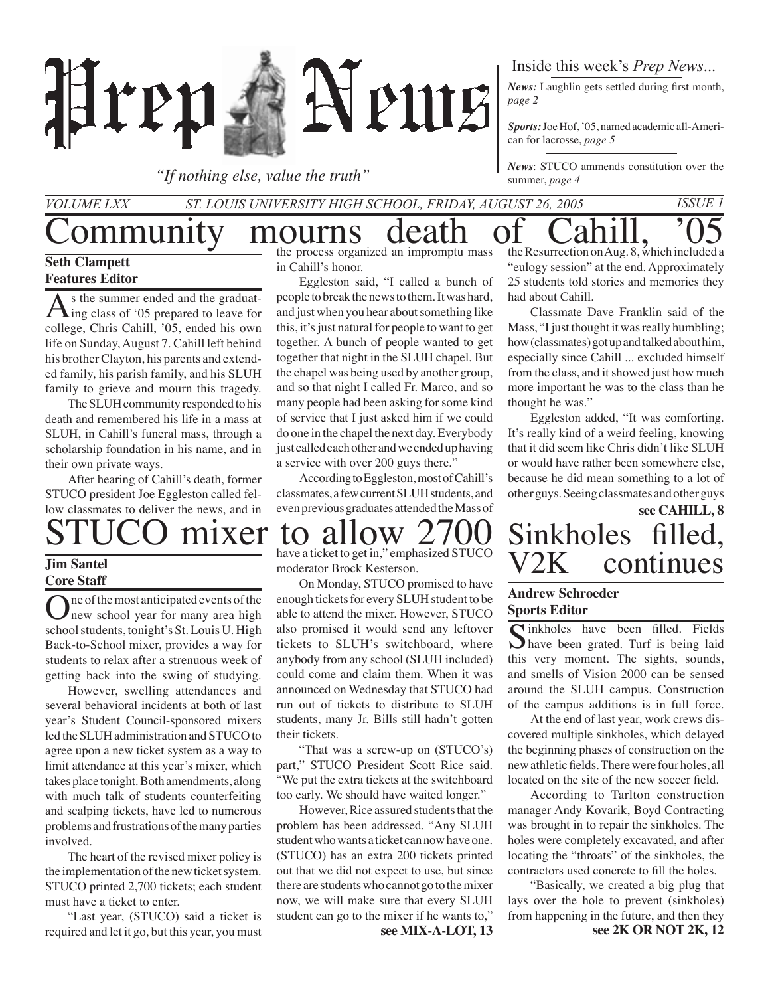

*"If nothing else, value the truth"*

Inside this week's *Prep News*...

*News:* Laughlin gets settled during first month, *page 2*

*Sports:* Joe Hof, '05, named academic all-American for lacrosse, *page 5*

*News*: STUCO ammends constitution over the summer, *page 4*

### *Volume LXX St. Louis University High School, Friday, August 26, 2005 Issue 1* Community mourns death of the Resurrection on Aug. 8, which included a

#### **Seth Clampett Features Editor**

 $\Lambda$ <sup>s</sup> the summer ended and the graduat-<br>ing class of '05 prepared to leave for college, Chris Cahill, '05, ended his own life on Sunday, August 7. Cahill left behind his brother Clayton, his parents and extended family, his parish family, and his SLUH family to grieve and mourn this tragedy.

The SLUH community responded to his death and remembered his life in a mass at SLUH, in Cahill's funeral mass, through a scholarship foundation in his name, and in their own private ways.

After hearing of Cahill's death, former STUCO president Joe Eggleston called fellow classmates to deliver the news, and in

#### **Jim Santel Core Staff**

One of the most anticipated events of the new school year for many area high school students, tonight's St. Louis U. High Back-to-School mixer, provides a way for students to relax after a strenuous week of getting back into the swing of studying.

However, swelling attendances and several behavioral incidents at both of last year's Student Council-sponsored mixers led the SLUH administration and STUCO to agree upon a new ticket system as a way to limit attendance at this year's mixer, which takes place tonight. Both amendments, along with much talk of students counterfeiting and scalping tickets, have led to numerous problems and frustrations of the many parties involved.

The heart of the revised mixer policy is the implementation of the new ticket system. STUCO printed 2,700 tickets; each student must have a ticket to enter.

"Last year, (STUCO) said a ticket is required and let it go, but this year, you must the process organized an impromptu mass in Cahill's honor.

Eggleston said, "I called a bunch of people to break the news to them. It was hard, and just when you hear about something like this, it's just natural for people to want to get together. A bunch of people wanted to get together that night in the SLUH chapel. But the chapel was being used by another group, and so that night I called Fr. Marco, and so many people had been asking for some kind of service that I just asked him if we could do one in the chapel the next day. Everybody just called each other and we ended up having a service with over 200 guys there."

According to Eggleston, most of Cahill's classmates, a few current SLUH students, and even previous graduates attended the Mass of

"eulogy session" at the end. Approximately 25 students told stories and memories they had about Cahill.

Classmate Dave Franklin said of the Mass, "I just thought it was really humbling; how (classmates) got up and talked about him, especially since Cahill ... excluded himself from the class, and it showed just how much more important he was to the class than he thought he was."

Eggleston added, "It was comforting. It's really kind of a weird feeling, knowing that it did seem like Chris didn't like SLUH or would have rather been somewhere else, because he did mean something to a lot of other guys. Seeing classmates and other guys

**see CAHILL, 8**

continues

# $\frac{\text{mixer}}{\text{have a ticket together}} \text{SINR}_{\text{linear}} \sum_{\text{number}} \sum_{\text{Stress}} \frac{1}{\text{SINR}} \sum_{\text{SINR}} \frac{1}{\text{SINR}} \sum_{\text{C}} \sum_{\text{CIVR}}$

have a ticket to get in," emphasized STUCO moderator Brock Kesterson.

On Monday, STUCO promised to have enough tickets for every SLUH student to be able to attend the mixer. However, STUCO also promised it would send any leftover tickets to SLUH's switchboard, where anybody from any school (SLUH included) could come and claim them. When it was announced on Wednesday that STUCO had run out of tickets to distribute to SLUH students, many Jr. Bills still hadn't gotten their tickets.

"That was a screw-up on (STUCO's) part," STUCO President Scott Rice said. "We put the extra tickets at the switchboard too early. We should have waited longer."

However, Rice assured students that the problem has been addressed. "Any SLUH student who wants a ticket can now have one. (STUCO) has an extra 200 tickets printed out that we did not expect to use, but since there are students who cannot go to the mixer now, we will make sure that every SLUH student can go to the mixer if he wants to,"

#### **Andrew Schroeder Sports Editor**

Sinkholes have been filled. Fields<br>have been grated. Turf is being laid this very moment. The sights, sounds, and smells of Vision 2000 can be sensed around the SLUH campus. Construction of the campus additions is in full force.

At the end of last year, work crews discovered multiple sinkholes, which delayed the beginning phases of construction on the new athletic fields. There were four holes, all located on the site of the new soccer field.

According to Tarlton construction manager Andy Kovarik, Boyd Contracting was brought in to repair the sinkholes. The holes were completely excavated, and after locating the "throats" of the sinkholes, the contractors used concrete to fill the holes.

"Basically, we created a big plug that lays over the hole to prevent (sinkholes) from happening in the future, and then they **see MIX-A-LOT, 13 see 2K OR NOT 2K, 12**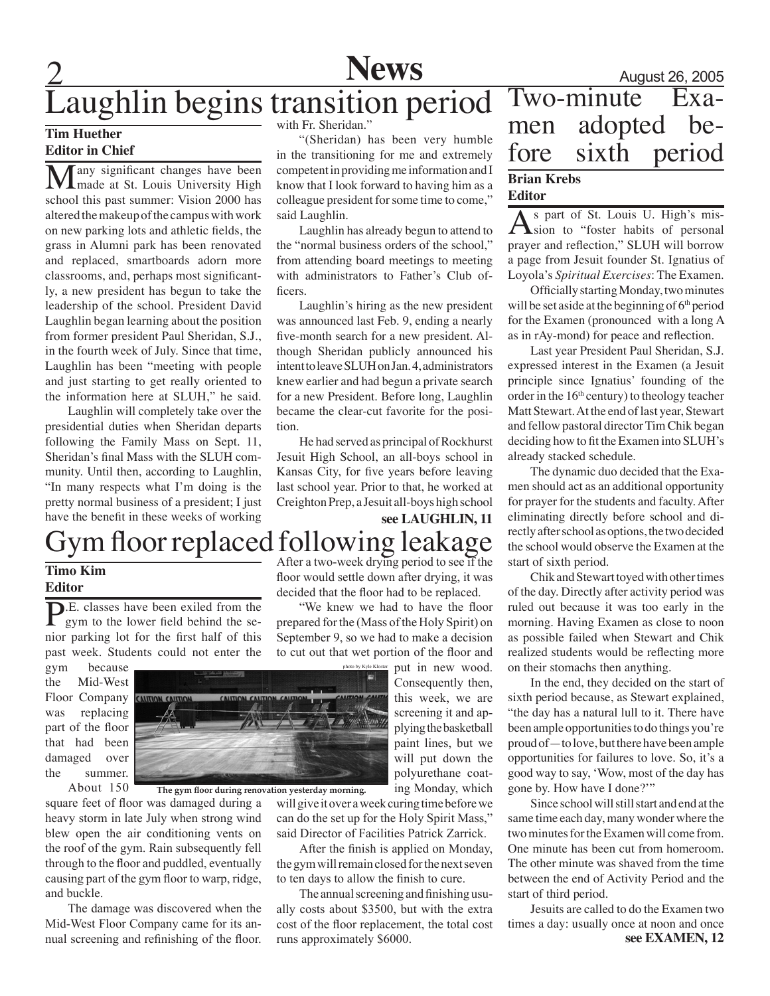

# Laughlin begins transition period Two-minute Exa-

#### **Tim Huether Editor in Chief**

any significant changes have been made at St. Louis University High school this past summer: Vision 2000 has altered the makeup of the campus with work on new parking lots and athletic fields, the grass in Alumni park has been renovated and replaced, smartboards adorn more classrooms, and, perhaps most significantly, a new president has begun to take the leadership of the school. President David Laughlin began learning about the position from former president Paul Sheridan, S.J., in the fourth week of July. Since that time, Laughlin has been "meeting with people and just starting to get really oriented to the information here at SLUH," he said.

Laughlin will completely take over the presidential duties when Sheridan departs following the Family Mass on Sept. 11, Sheridan's final Mass with the SLUH community. Until then, according to Laughlin, "In many respects what I'm doing is the pretty normal business of a president; I just have the benefit in these weeks of working

#### with Fr. Sheridan."

"(Sheridan) has been very humble in the transitioning for me and extremely competent in providing me information and I know that I look forward to having him as a colleague president for some time to come," said Laughlin.

Laughlin has already begun to attend to the "normal business orders of the school," from attending board meetings to meeting with administrators to Father's Club officers.

Laughlin's hiring as the new president was announced last Feb. 9, ending a nearly five-month search for a new president. Although Sheridan publicly announced his intent to leave SLUH on Jan. 4, administrators knew earlier and had begun a private search for a new President. Before long, Laughlin became the clear-cut favorite for the position.

He had served as principal of Rockhurst Jesuit High School, an all-boys school in Kansas City, for five years before leaving last school year. Prior to that, he worked at Creighton Prep, a Jesuit all-boys high school

**see LAUGHLIN, 11** Gym floor replaced following leakage

#### floor would settle down after drying, it was decided that the floor had to be replaced.

"We knew we had to have the floor prepared for the (Mass of the Holy Spirit) on September 9, so we had to make a decision to cut out that wet portion of the floor and

photo by Kyle Kloster

put in new wood. Consequently then, this week, we are screening it and applying the basketball paint lines, but we will put down the polyurethane coating Monday, which

will give it over a week curing time before we can do the set up for the Holy Spirit Mass," said Director of Facilities Patrick Zarrick.

After the finish is applied on Monday, the gym will remain closed for the next seven to ten days to allow the finish to cure.

The annual screening and finishing usually costs about \$3500, but with the extra cost of the floor replacement, the total cost runs approximately \$6000. **see EXAMEN, 12**

### August 26, 2005<br>Two-minute Exa-**Brian Krebs Editor** men adopted be-<br>fore sixth period

As part of St. Louis U. High's mis-<br>
Sion to "foster habits of personal prayer and reflection," SLUH will borrow a page from Jesuit founder St. Ignatius of Loyola's *Spiritual Exercises*: The Examen.

Officially starting Monday, two minutes will be set aside at the beginning of  $6<sup>th</sup>$  period for the Examen (pronounced with a long A as in rAy-mond) for peace and reflection.

Last year President Paul Sheridan, S.J. expressed interest in the Examen (a Jesuit principle since Ignatius' founding of the order in the  $16<sup>th</sup>$  century) to theology teacher Matt Stewart. At the end of last year, Stewart and fellow pastoral director Tim Chik began deciding how to fit the Examen into SLUH's already stacked schedule.

The dynamic duo decided that the Examen should act as an additional opportunity for prayer for the students and faculty. After eliminating directly before school and directly after school as options, the two decided the school would observe the Examen at the start of sixth period.

Chik and Stewart toyed with other times of the day. Directly after activity period was ruled out because it was too early in the morning. Having Examen as close to noon as possible failed when Stewart and Chik realized students would be reflecting more on their stomachs then anything.

In the end, they decided on the start of sixth period because, as Stewart explained, "the day has a natural lull to it. There have been ample opportunities to do things you're proud of—to love, but there have been ample opportunities for failures to love. So, it's a good way to say, 'Wow, most of the day has gone by. How have I done?'"

Since school will still start and end at the same time each day, many wonder where the two minutes for the Examen will come from. One minute has been cut from homeroom. The other minute was shaved from the time between the end of Activity Period and the start of third period.

Jesuits are called to do the Examen two times a day: usually once at noon and once

#### $\sum_{\text{sym to the last}}$ . gym to the lower field behind the senior parking lot for the first half of this past week. Students could not enter the

**Timo Kim Editor**

gym because the Mid-West Floor Company was replacing part of the floor that had been damaged over the summer.

About 150 square feet of floor was damaged during a heavy storm in late July when strong wind blew open the air conditioning vents on the roof of the gym. Rain subsequently fell through to the floor and puddled, eventually causing part of the gym floor to warp, ridge, and buckle.

The damage was discovered when the Mid-West Floor Company came for its annual screening and refinishing of the floor.

AUTION CA **The gym floor during renovation yesterday morning.**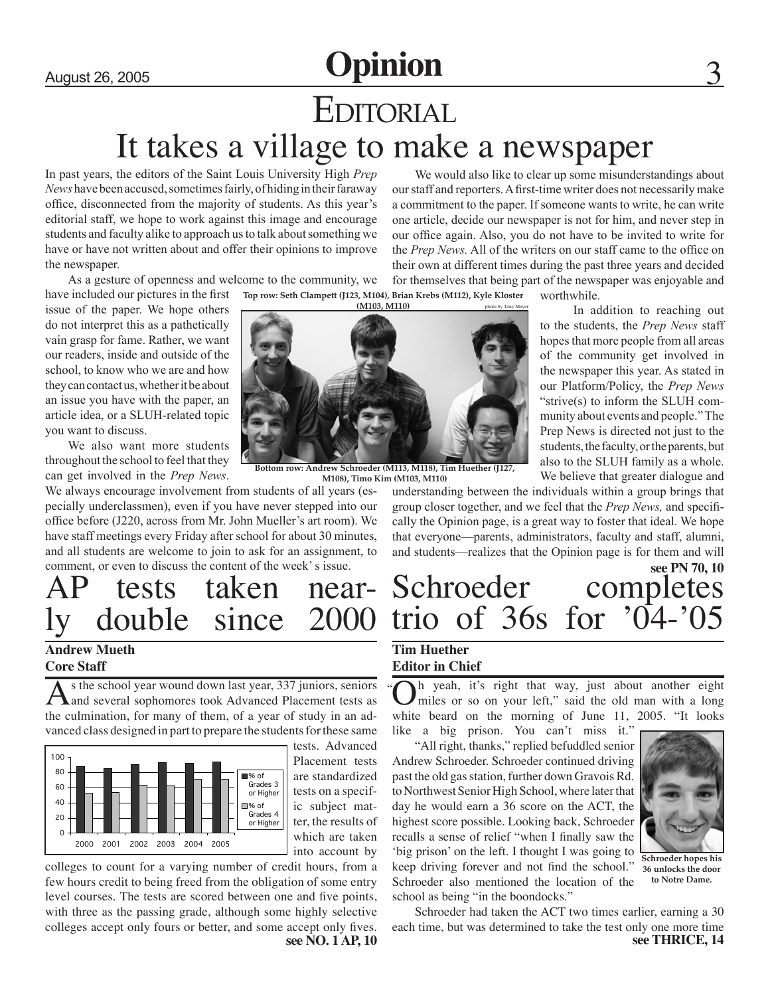## August 26, 2005 **Opinion EDITORIAL** It takes a village to make a newspaper

In past years, the editors of the Saint Louis University High *Prep News* have been accused, sometimes fairly, of hiding in their faraway office, disconnected from the majority of students. As this year's editorial staff, we hope to work against this image and encourage students and faculty alike to approach us to talk about something we have or have not written about and offer their opinions to improve the newspaper.

As a gesture of openness and welcome to the community, we

have included our pictures in the first issue of the paper. We hope others do not interpret this as a pathetically vain grasp for fame. Rather, we want our readers, inside and outside of the school, to know who we are and how they can contact us, whether it be about an issue you have with the paper, an article idea, or a SLUH-related topic you want to discuss.

We also want more students throughout the school to feel that they can get involved in the *Prep News*.

We always encourage involvement from students of all years (especially underclassmen), even if you have never stepped into our office before (J220, across from Mr. John Mueller's art room). We have staff meetings every Friday after school for about 30 minutes, and all students are welcome to join to ask for an assignment, to comment, or even to discuss the content of the week' s issue.

# AP tests taken near- ly double since 2000

#### **Andrew Mueth Core Staff**

As the school year wound down last year, 337 juniors, seniors<br>and several sophomores took Advanced Placement tests as the culmination, for many of them, of a year of study in an advanced class designed in part to prepare the students for these same



tests. Advanced Placement tests are standardized tests on a specific subject matter, the results of which are taken into account by

colleges to count for a varying number of credit hours, from a few hours credit to being freed from the obligation of some entry level courses. The tests are scored between one and five points, with three as the passing grade, although some highly selective colleges accept only fours or better, and some accept only fives.<br>see NO. 1 AP, 10

We would also like to clear up some misunderstandings about our staff and reporters. A first-time writer does not necessarily make a commitment to the paper. If someone wants to write, he can write one article, decide our newspaper is not for him, and never step in our office again. Also, you do not have to be invited to write for the *Prep News.* All of the writers on our staff came to the office on their own at different times during the past three years and decided

**Top row: Seth Clampett (J123, M104), Brian Krebs (M112), Kyle Kloster**  for themselves that being part of the newspaper was enjoyable and worthwhile.

> In addition to reaching out to the students, the *Prep News* staff hopes that more people from all areas of the community get involved in the newspaper this year. As stated in our Platform/Policy, the *Prep News*  "strive(s) to inform the SLUH community about events and people." The Prep News is directed not just to the students, the faculty, or the parents, but also to the SLUH family as a whole. We believe that greater dialogue and

**(M103, M110)** 

**Bottom row: Andrew Schroeder (M113, M118), Tim Huether (J127, M108), Timo Kim (M103, M110)**

understanding between the individuals within a group brings that group closer together, and we feel that the *Prep News,* and specifically the Opinion page, is a great way to foster that ideal. We hope that everyone—parents, administrators, faculty and staff, alumni, and students—realizes that the Opinion page is for them and will

### Schroeder completes trio of 36s for '04-'05 **see PN 70, 10**

#### **Tim Huether Editor in Chief**

Oh yeah, it's right that way, just about another eight miles or so on your left," said the old man with a long white beard on the morning of June 11, 2005. "It looks "

like a big prison. You can't miss it." "All right, thanks," replied befuddled senior Andrew Schroeder. Schroeder continued driving past the old gas station, further down Gravois Rd. to Northwest Senior High School, where later that day he would earn a 36 score on the ACT, the highest score possible. Looking back, Schroeder recalls a sense of relief "when I finally saw the 'big prison' on the left. I thought I was going to keep driving forever and not find the school." Schroeder also mentioned the location of the school as being "in the boondocks."



**Schroeder hopes his 36 unlocks the door to Notre Dame.**

Schroeder had taken the ACT two times earlier, earning a 30 each time, but was determined to take the test only one more time **see THRICE, 14**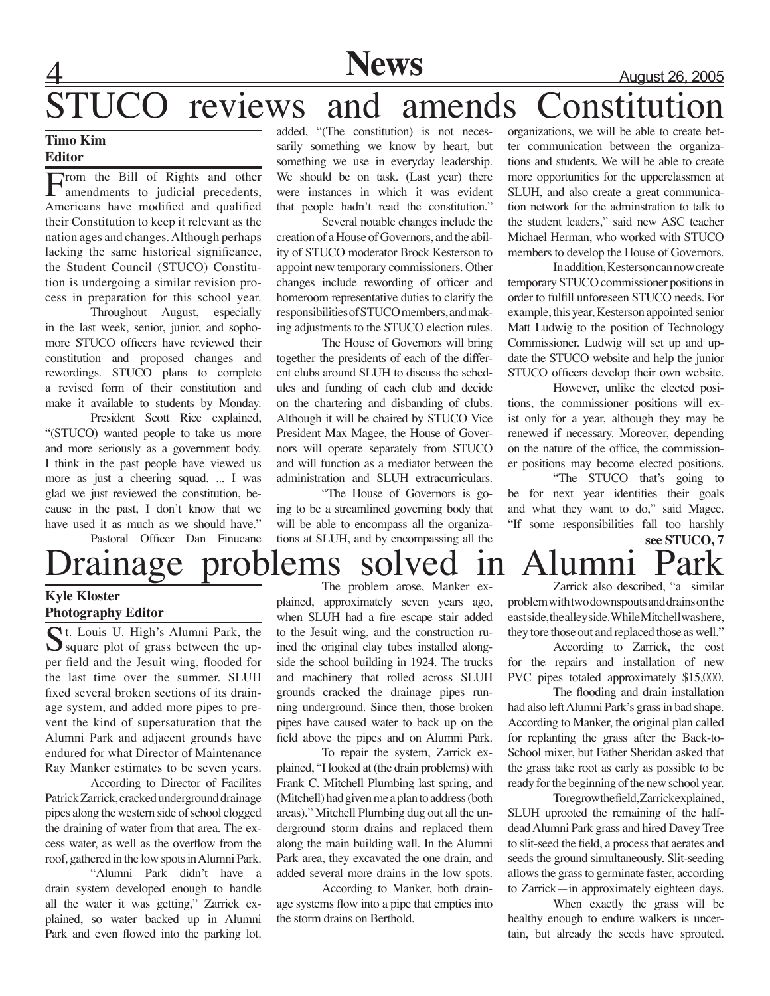### **News** August 26, 2005

## STUCO reviews and amends Constitution

#### **Timo Kim Editor**

From the Bill of Rights and other<br>
amendments to judicial precedents, Americans have modified and qualified their Constitution to keep it relevant as the nation ages and changes. Although perhaps lacking the same historical significance, the Student Council (STUCO) Constitution is undergoing a similar revision process in preparation for this school year.

Throughout August, especially in the last week, senior, junior, and sophomore STUCO officers have reviewed their constitution and proposed changes and rewordings. STUCO plans to complete a revised form of their constitution and make it available to students by Monday.

President Scott Rice explained, "(STUCO) wanted people to take us more and more seriously as a government body. I think in the past people have viewed us more as just a cheering squad. ... I was glad we just reviewed the constitution, because in the past, I don't know that we have used it as much as we should have." Pastoral Officer Dan Finucane added, "(The constitution) is not necessarily something we know by heart, but something we use in everyday leadership. We should be on task. (Last year) there were instances in which it was evident that people hadn't read the constitution."

Several notable changes include the creation of a House of Governors, and the ability of STUCO moderator Brock Kesterson to appoint new temporary commissioners. Other changes include rewording of officer and homeroom representative duties to clarify the responsibilities of STUCO members, and making adjustments to the STUCO election rules.

The House of Governors will bring together the presidents of each of the different clubs around SLUH to discuss the schedules and funding of each club and decide on the chartering and disbanding of clubs. Although it will be chaired by STUCO Vice President Max Magee, the House of Governors will operate separately from STUCO and will function as a mediator between the administration and SLUH extracurriculars.

"The House of Governors is going to be a streamlined governing body that will be able to encompass all the organizations at SLUH, and by encompassing all the

organizations, we will be able to create better communication between the organizations and students. We will be able to create more opportunities for the upperclassmen at SLUH, and also create a great communication network for the adminstration to talk to the student leaders," said new ASC teacher Michael Herman, who worked with STUCO members to develop the House of Governors.

In addition, Kesterson can now create temporary STUCO commissioner positions in order to fulfill unforeseen STUCO needs. For example, this year, Kesterson appointed senior Matt Ludwig to the position of Technology Commissioner. Ludwig will set up and update the STUCO website and help the junior STUCO officers develop their own website.

However, unlike the elected positions, the commissioner positions will exist only for a year, although they may be renewed if necessary. Moreover, depending on the nature of the office, the commissioner positions may become elected positions.

"The STUCO that's going to be for next year identifies their goals and what they want to do," said Magee. "If some responsibilities fall too harshly

### **see STUCO, 7** Drainage problems solved in Alumni Park

#### **Kyle Kloster Photography Editor**

St. Louis U. High's Alumni Park, the  $\sum$  square plot of grass between the upper field and the Jesuit wing, flooded for the last time over the summer. SLUH fixed several broken sections of its drainage system, and added more pipes to prevent the kind of supersaturation that the Alumni Park and adjacent grounds have endured for what Director of Maintenance Ray Manker estimates to be seven years.

According to Director of Facilites Patrick Zarrick, cracked underground drainage pipes along the western side of school clogged the draining of water from that area. The excess water, as well as the overflow from the roof, gathered in the low spots in Alumni Park.

"Alumni Park didn't have a drain system developed enough to handle all the water it was getting," Zarrick explained, so water backed up in Alumni Park and even flowed into the parking lot.

The problem arose, Manker explained, approximately seven years ago, when SLUH had a fire escape stair added to the Jesuit wing, and the construction ruined the original clay tubes installed alongside the school building in 1924. The trucks and machinery that rolled across SLUH grounds cracked the drainage pipes running underground. Since then, those broken pipes have caused water to back up on the field above the pipes and on Alumni Park.

To repair the system, Zarrick explained, "I looked at (the drain problems) with Frank C. Mitchell Plumbing last spring, and (Mitchell) had given me a plan to address (both areas)." Mitchell Plumbing dug out all the underground storm drains and replaced them along the main building wall. In the Alumni Park area, they excavated the one drain, and added several more drains in the low spots.

According to Manker, both drainage systems flow into a pipe that empties into the storm drains on Berthold.

Zarrick also described, "a similar problem with two downspouts and drains on the east side, the alley side. While Mitchell was here, they tore those out and replaced those as well."

According to Zarrick, the cost for the repairs and installation of new PVC pipes totaled approximately \$15,000.

The flooding and drain installation had also left Alumni Park's grass in bad shape. According to Manker, the original plan called for replanting the grass after the Back-to-School mixer, but Father Sheridan asked that the grass take root as early as possible to be ready for the beginning of the new school year.

To regrow the field, Zarrick explained, SLUH uprooted the remaining of the halfdead Alumni Park grass and hired Davey Tree to slit-seed the field, a process that aerates and seeds the ground simultaneously. Slit-seeding allows the grass to germinate faster, according to Zarrick—in approximately eighteen days.

When exactly the grass will be healthy enough to endure walkers is uncertain, but already the seeds have sprouted.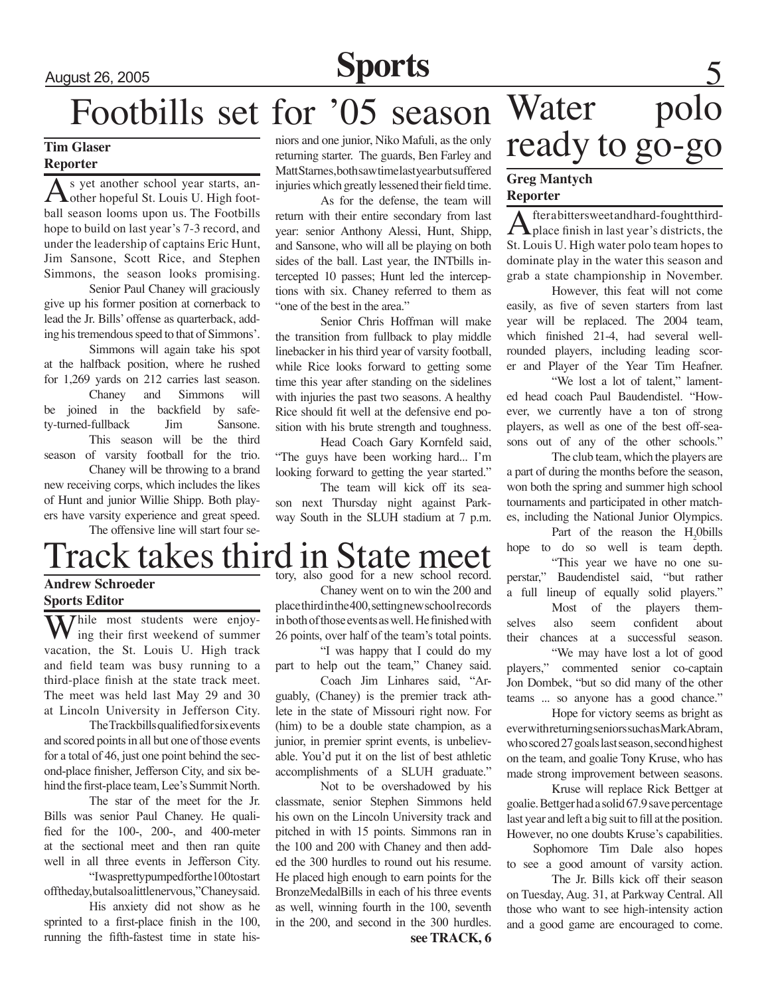### August 26, 2005 **Sports**

## Footbills set for '05 season

#### **Tim Glaser Reporter**

As yet another school year starts, an-<br>
other hopeful St. Louis U. High football season looms upon us. The Footbills hope to build on last year's 7-3 record, and under the leadership of captains Eric Hunt, Jim Sansone, Scott Rice, and Stephen Simmons, the season looks promising.

Senior Paul Chaney will graciously give up his former position at cornerback to lead the Jr. Bills' offense as quarterback, adding his tremendous speed to that of Simmons'.

Simmons will again take his spot at the halfback position, where he rushed for 1,269 yards on 212 carries last season.

Chaney and Simmons will be joined in the backfield by safety-turned-fullback Jim Sansone. This season will be the third season of varsity football for the trio.

Chaney will be throwing to a brand new receiving corps, which includes the likes of Hunt and junior Willie Shipp. Both players have varsity experience and great speed.

The offensive line will start four se-

niors and one junior, Niko Mafuli, as the only returning starter. The guards, Ben Farley and Matt Starnes, both saw time last year but suffered injuries which greatly lessened their field time.

As for the defense, the team will return with their entire secondary from last year: senior Anthony Alessi, Hunt, Shipp, and Sansone, who will all be playing on both sides of the ball. Last year, the INTbills intercepted 10 passes; Hunt led the interceptions with six. Chaney referred to them as "one of the best in the area."

Senior Chris Hoffman will make the transition from fullback to play middle linebacker in his third year of varsity football, while Rice looks forward to getting some time this year after standing on the sidelines with injuries the past two seasons. A healthy Rice should fit well at the defensive end position with his brute strength and toughness.

Head Coach Gary Kornfeld said, "The guys have been working hard... I'm looking forward to getting the year started."

The team will kick off its season next Thursday night against Parkway South in the SLUH stadium at 7 p.m.

#### Track takes third in State meet **Andrew Schroeder** tory, also good for a new school record.

#### **Sports Editor**

While most students were enjoying their first weekend of summer vacation, the St. Louis U. High track and field team was busy running to a third-place finish at the state track meet. The meet was held last May 29 and 30 at Lincoln University in Jefferson City.

The Trackbills qualified for six events and scored points in all but one of those events for a total of 46, just one point behind the second-place finisher, Jefferson City, and six behind the first-place team, Lee's Summit North.

The star of the meet for the Jr. Bills was senior Paul Chaney. He qualified for the 100-, 200-, and 400-meter at the sectional meet and then ran quite well in all three events in Jefferson City.

"I was pretty pumped for the 100 to start offtheday, but also a little nervous," Chaney said.

His anxiety did not show as he sprinted to a first-place finish in the 100, running the fifth-fastest time in state his-

Chaney went on to win the 200 and place third in the 400, setting new school records in both of those events as well. He finished with 26 points, over half of the team's total points.

"I was happy that I could do my part to help out the team," Chaney said.

Coach Jim Linhares said, "Arguably, (Chaney) is the premier track athlete in the state of Missouri right now. For (him) to be a double state champion, as a junior, in premier sprint events, is unbelievable. You'd put it on the list of best athletic accomplishments of a SLUH graduate."

**see TRACK, 6** Not to be overshadowed by his classmate, senior Stephen Simmons held his own on the Lincoln University track and pitched in with 15 points. Simmons ran in the 100 and 200 with Chaney and then added the 300 hurdles to round out his resume. He placed high enough to earn points for the BronzeMedalBills in each of his three events as well, winning fourth in the 100, seventh in the 200, and second in the 300 hurdles.

## Water polo ready to go-go

#### **Greg Mantych Reporter**

After a bitters weet and hard-fought third-<br>place finish in last year's districts, the St. Louis U. High water polo team hopes to dominate play in the water this season and grab a state championship in November.

However, this feat will not come easily, as five of seven starters from last year will be replaced. The 2004 team, which finished 21-4, had several wellrounded players, including leading scorer and Player of the Year Tim Heafner.

"We lost a lot of talent," lamented head coach Paul Baudendistel. "However, we currently have a ton of strong players, as well as one of the best off-seasons out of any of the other schools."

The club team, which the players are a part of during the months before the season, won both the spring and summer high school tournaments and participated in other matches, including the National Junior Olympics.

Part of the reason the  $H_2$ Obills hope to do so well is team depth. "This year we have no one su-

perstar," Baudendistel said, "but rather a full lineup of equally solid players." Most of the players themselves also seem confident about their chances at a successful season. "We may have lost a lot of good players," commented senior co-captain

Jon Dombek, "but so did many of the other teams ... so anyone has a good chance." Hope for victory seems as bright as

ever with returning seniors such as Mark Abram, who scored 27 goals last season, second highest on the team, and goalie Tony Kruse, who has made strong improvement between seasons.

Kruse will replace Rick Bettger at goalie. Bettger had a solid 67.9 save percentage last year and left a big suit to fill at the position. However, no one doubts Kruse's capabilities.

Sophomore Tim Dale also hopes to see a good amount of varsity action.

The Jr. Bills kick off their season on Tuesday, Aug. 31, at Parkway Central. All those who want to see high-intensity action and a good game are encouraged to come.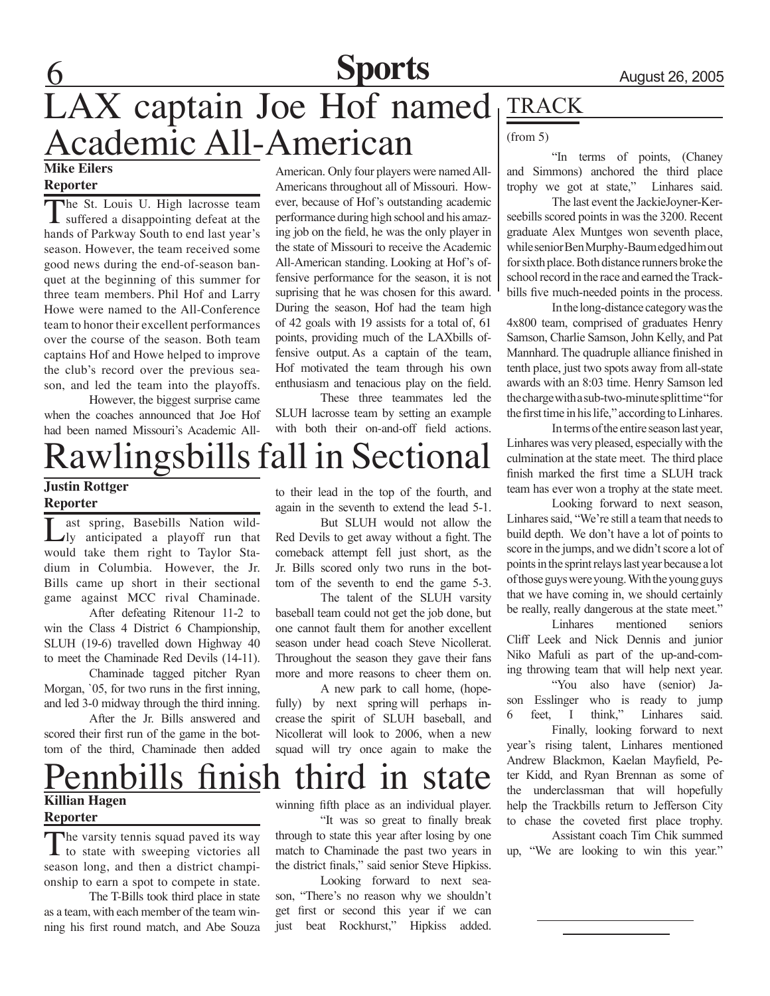### **Sports**

### **Mike Eilers** LAX captain Joe Hof named Academic All-American

#### **Reporter**

The St. Louis U. High lacrosse team<br>suffered a disappointing defeat at the hands of Parkway South to end last year's season. However, the team received some good news during the end-of-season banquet at the beginning of this summer for three team members. Phil Hof and Larry Howe were named to the All-Conference team to honor their excellent performances over the course of the season. Both team captains Hof and Howe helped to improve the club's record over the previous season, and led the team into the playoffs.

However, the biggest surprise came when the coaches announced that Joe Hof had been named Missouri's Academic All-

### Rawlingsbills fall in Sectional

#### **Justin Rottger Reporter**

Last spring, Basebills Nation wild-ly anticipated a playoff run that would take them right to Taylor Stadium in Columbia. However, the Jr. Bills came up short in their sectional game against MCC rival Chaminade.

After defeating Ritenour 11-2 to win the Class 4 District 6 Championship, SLUH (19-6) travelled down Highway 40 to meet the Chaminade Red Devils (14-11).

Chaminade tagged pitcher Ryan Morgan, '05, for two runs in the first inning. and led 3-0 midway through the third inning.

After the Jr. Bills answered and scored their first run of the game in the bottom of the third, Chaminade then added

American. Only four players were named All-Americans throughout all of Missouri. However, because of Hof's outstanding academic performance during high school and his amazing job on the field, he was the only player in the state of Missouri to receive the Academic All-American standing. Looking at Hof's offensive performance for the season, it is not suprising that he was chosen for this award. During the season, Hof had the team high of 42 goals with 19 assists for a total of, 61 points, providing much of the LAXbills offensive output. As a captain of the team, Hof motivated the team through his own enthusiasm and tenacious play on the field.

These three teammates led the SLUH lacrosse team by setting an example with both their on-and-off field actions.

to their lead in the top of the fourth, and again in the seventh to extend the lead 5-1.

But SLUH would not allow the Red Devils to get away without a fight. The comeback attempt fell just short, as the Jr. Bills scored only two runs in the bottom of the seventh to end the game 5-3.

The talent of the SLUH varsity baseball team could not get the job done, but one cannot fault them for another excellent season under head coach Steve Nicollerat. Throughout the season they gave their fans more and more reasons to cheer them on.

A new park to call home, (hopefully) by next spring will perhaps increase the spirit of SLUH baseball, and Nicollerat will look to 2006, when a new squad will try once again to make the

### **TRACK**

#### (from 5)

"In terms of points, (Chaney and Simmons) anchored the third place trophy we got at state," Linhares said.

The last event the JackieJoyner-Kerseebills scored points in was the 3200. Recent graduate Alex Muntges won seventh place, while senior Ben Murphy-Baum edged him out for sixth place. Both distance runners broke the school record in the race and earned the Trackbills five much-needed points in the process.

In the long-distance category was the 4x800 team, comprised of graduates Henry Samson, Charlie Samson, John Kelly, and Pat Mannhard. The quadruple alliance finished in tenth place, just two spots away from all-state awards with an 8:03 time. Henry Samson led the charge with a sub-two-minute split time "for the first time in his life," according to Linhares.

In terms of the entire season last year, Linhares was very pleased, especially with the culmination at the state meet. The third place finish marked the first time a SLUH track team has ever won a trophy at the state meet.

Looking forward to next season, Linhares said, "We're still a team that needs to build depth. We don't have a lot of points to score in the jumps, and we didn't score a lot of points in the sprint relays last year because a lot of those guys were young. With the young guys that we have coming in, we should certainly be really, really dangerous at the state meet."

Linhares mentioned seniors Cliff Leek and Nick Dennis and junior Niko Mafuli as part of the up-and-coming throwing team that will help next year. "You also have (senior) Jason Esslinger who is ready to jump 6 feet, I think," Linhares said. Finally, looking forward to next

year's rising talent, Linhares mentioned Andrew Blackmon, Kaelan Mayfield, Peter Kidd, and Ryan Brennan as some of the underclassman that will hopefully help the Trackbills return to Jefferson City to chase the coveted first place trophy.

Assistant coach Tim Chik summed up, "We are looking to win this year."

### **Killian Hagen** Pennbills finish third in state

#### **Reporter**

The varsity tennis squad paved its way to state with sweeping victories all season long, and then a district championship to earn a spot to compete in state.

The T-Bills took third place in state as a team, with each member of the team winning his first round match, and Abe Souza

winning fifth place as an individual player. "It was so great to finally break through to state this year after losing by one

match to Chaminade the past two years in the district finals," said senior Steve Hipkiss. Looking forward to next sea-

son, "There's no reason why we shouldn't get first or second this year if we can just beat Rockhurst," Hipkiss added.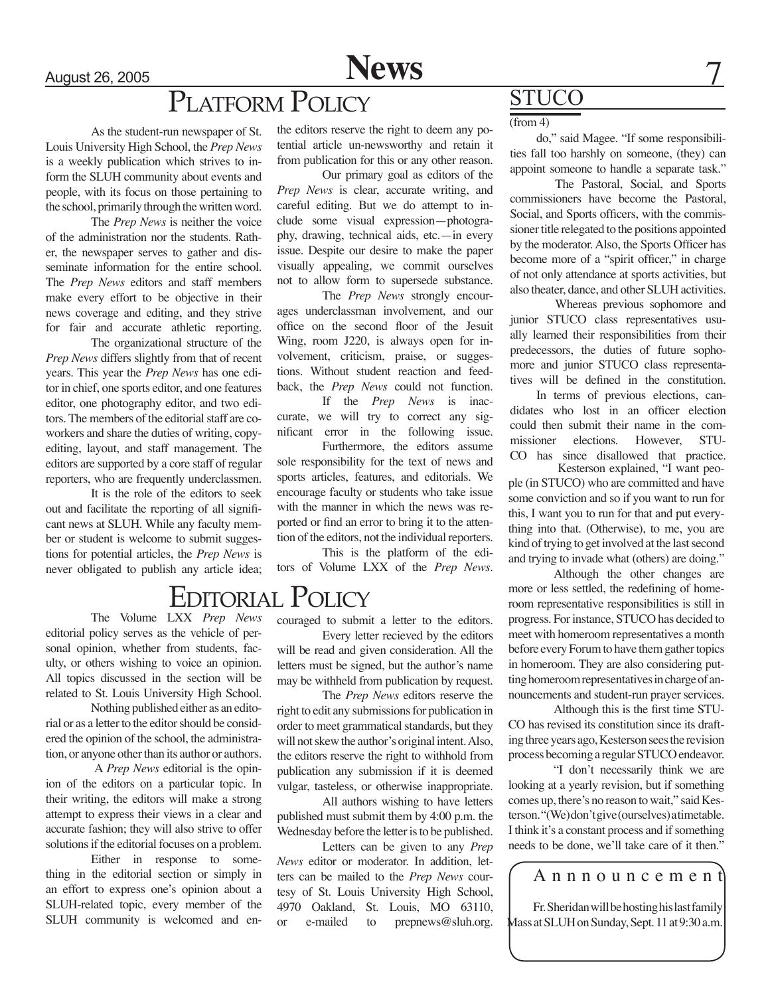August 26, 2005

**News**

### PLATFORM POLICY

As the student-run newspaper of St. Louis University High School, the *Prep News* is a weekly publication which strives to inform the SLUH community about events and people, with its focus on those pertaining to the school, primarily through the written word.

The *Prep News* is neither the voice of the administration nor the students. Rather, the newspaper serves to gather and disseminate information for the entire school. The *Prep News* editors and staff members make every effort to be objective in their news coverage and editing, and they strive for fair and accurate athletic reporting.

The organizational structure of the *Prep News* differs slightly from that of recent years. This year the *Prep News* has one editor in chief, one sports editor, and one features editor, one photography editor, and two editors. The members of the editorial staff are coworkers and share the duties of writing, copyediting, layout, and staff management. The editors are supported by a core staff of regular reporters, who are frequently underclassmen.

It is the role of the editors to seek out and facilitate the reporting of all significant news at SLUH. While any faculty member or student is welcome to submit suggestions for potential articles, the *Prep News* is never obligated to publish any article idea;

The Volume LXX *Prep News*

editorial policy serves as the vehicle of personal opinion, whether from students, faculty, or others wishing to voice an opinion. All topics discussed in the section will be related to St. Louis University High School.

Nothing published either as an editorial or as a letter to the editor should be considered the opinion of the school, the administration, or anyone other than its author or authors.

 A *Prep News* editorial is the opinion of the editors on a particular topic. In their writing, the editors will make a strong attempt to express their views in a clear and accurate fashion; they will also strive to offer solutions if the editorial focuses on a problem.

Either in response to something in the editorial section or simply in an effort to express one's opinion about a SLUH-related topic, every member of the SLUH community is welcomed and enthe editors reserve the right to deem any potential article un-newsworthy and retain it from publication for this or any other reason.

Our primary goal as editors of the *Prep News* is clear, accurate writing, and careful editing. But we do attempt to include some visual expression—photography, drawing, technical aids, etc.—in every issue. Despite our desire to make the paper visually appealing, we commit ourselves not to allow form to supersede substance.

The *Prep News* strongly encourages underclassman involvement, and our office on the second floor of the Jesuit Wing, room J220, is always open for involvement, criticism, praise, or suggestions. Without student reaction and feedback, the *Prep News* could not function.

If the *Prep News* is inaccurate, we will try to correct any significant error in the following issue.

Furthermore, the editors assume sole responsibility for the text of news and sports articles, features, and editorials. We encourage faculty or students who take issue with the manner in which the news was reported or find an error to bring it to the attention of the editors, not the individual reporters.

This is the platform of the editors of Volume LXX of the *Prep News*.

### Editorial Policy

couraged to submit a letter to the editors.

Every letter recieved by the editors will be read and given consideration. All the letters must be signed, but the author's name may be withheld from publication by request.

The *Prep News* editors reserve the right to edit any submissions for publication in order to meet grammatical standards, but they will not skew the author's original intent. Also, the editors reserve the right to withhold from publication any submission if it is deemed vulgar, tasteless, or otherwise inappropriate.

All authors wishing to have letters published must submit them by 4:00 p.m. the Wednesday before the letter is to be published.

Letters can be given to any *Prep News* editor or moderator. In addition, letters can be mailed to the *Prep News* courtesy of St. Louis University High School, 4970 Oakland, St. Louis, MO 63110, or e-mailed to prepnews@sluh.org.

### **STUCO**

#### $(from 4)$

do," said Magee. "If some responsibilities fall too harshly on someone, (they) can appoint someone to handle a separate task."

The Pastoral, Social, and Sports commissioners have become the Pastoral, Social, and Sports officers, with the commissioner title relegated to the positions appointed by the moderator. Also, the Sports Officer has become more of a "spirit officer," in charge of not only attendance at sports activities, but also theater, dance, and other SLUH activities.

Whereas previous sophomore and junior STUCO class representatives usually learned their responsibilities from their predecessors, the duties of future sophomore and junior STUCO class representatives will be defined in the constitution.

In terms of previous elections, candidates who lost in an officer election could then submit their name in the commissioner elections. However, STU-CO has since disallowed that practice.

 Kesterson explained, "I want people (in STUCO) who are committed and have some conviction and so if you want to run for this, I want you to run for that and put everything into that. (Otherwise), to me, you are kind of trying to get involved at the last second and trying to invade what (others) are doing."

Although the other changes are more or less settled, the redefining of homeroom representative responsibilities is still in progress. For instance, STUCO has decided to meet with homeroom representatives a month before every Forum to have them gather topics in homeroom. They are also considering putting homeroom representatives in charge of announcements and student-run prayer services.

Although this is the first time STU-CO has revised its constitution since its drafting three years ago, Kesterson sees the revision process becoming a regular STUCO endeavor.

"I don't necessarily think we are looking at a yearly revision, but if something comes up, there's no reason to wait," said Kesterson. "(We) don't give (ourselves) a timetable. I think it's a constant process and if something needs to be done, we'll take care of it then."

A n n n o u n c e m e n t

Fr. Sheridan will be hosting his last family Mass at SLUH on Sunday, Sept. 11 at 9:30 a.m.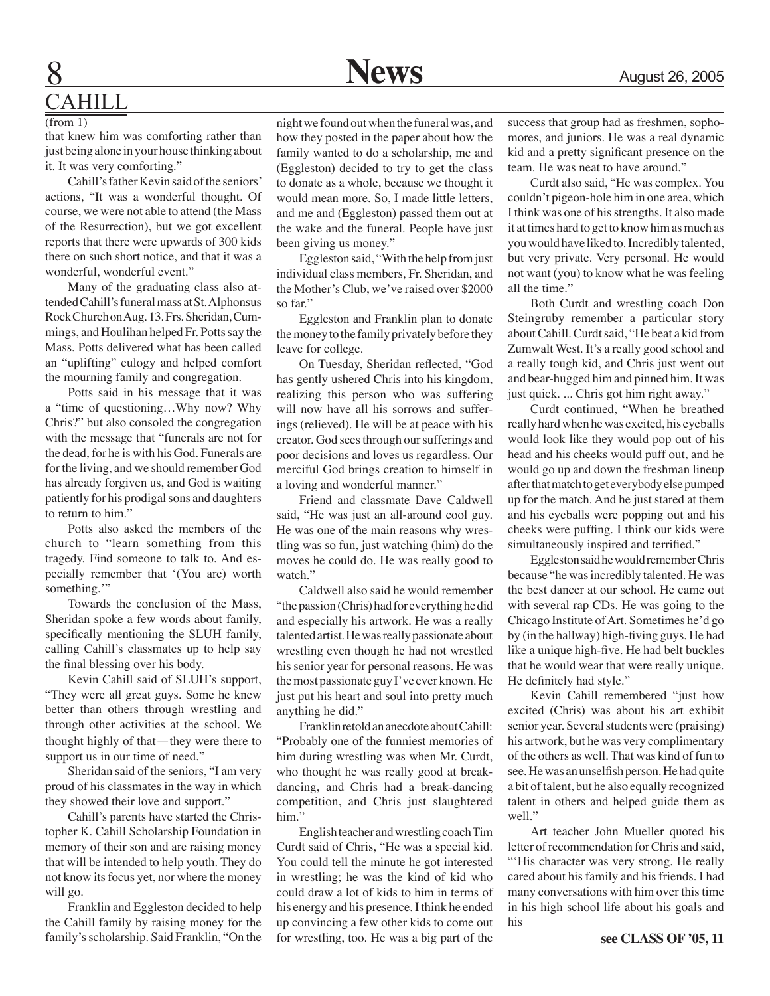#### August 26, 2005

### **CAHILL**

#### (from 1)

that knew him was comforting rather than just being alone in your house thinking about it. It was very comforting."

Cahill's father Kevin said of the seniors' actions, "It was a wonderful thought. Of course, we were not able to attend (the Mass of the Resurrection), but we got excellent reports that there were upwards of 300 kids there on such short notice, and that it was a wonderful, wonderful event."

Many of the graduating class also attended Cahill's funeral mass at St. Alphonsus Rock Church on Aug. 13. Frs. Sheridan, Cummings, and Houlihan helped Fr. Potts say the Mass. Potts delivered what has been called an "uplifting" eulogy and helped comfort the mourning family and congregation.

Potts said in his message that it was a "time of questioning…Why now? Why Chris?" but also consoled the congregation with the message that "funerals are not for the dead, for he is with his God. Funerals are for the living, and we should remember God has already forgiven us, and God is waiting patiently for his prodigal sons and daughters to return to him."

Potts also asked the members of the church to "learn something from this tragedy. Find someone to talk to. And especially remember that '(You are) worth something."

Towards the conclusion of the Mass, Sheridan spoke a few words about family, specifically mentioning the SLUH family, calling Cahill's classmates up to help say the final blessing over his body.

Kevin Cahill said of SLUH's support, "They were all great guys. Some he knew better than others through wrestling and through other activities at the school. We thought highly of that—they were there to support us in our time of need."

Sheridan said of the seniors, "I am very proud of his classmates in the way in which they showed their love and support."

Cahill's parents have started the Christopher K. Cahill Scholarship Foundation in memory of their son and are raising money that will be intended to help youth. They do not know its focus yet, nor where the money will go.

Franklin and Eggleston decided to help the Cahill family by raising money for the family's scholarship. Said Franklin, "On the

night we found out when the funeral was, and how they posted in the paper about how the family wanted to do a scholarship, me and (Eggleston) decided to try to get the class to donate as a whole, because we thought it would mean more. So, I made little letters, and me and (Eggleston) passed them out at the wake and the funeral. People have just been giving us money."

Eggleston said, "With the help from just individual class members, Fr. Sheridan, and the Mother's Club, we've raised over \$2000 so far."

Eggleston and Franklin plan to donate the money to the family privately before they leave for college.

On Tuesday, Sheridan reflected, "God has gently ushered Chris into his kingdom, realizing this person who was suffering will now have all his sorrows and sufferings (relieved). He will be at peace with his creator. God sees through our sufferings and poor decisions and loves us regardless. Our merciful God brings creation to himself in a loving and wonderful manner."

Friend and classmate Dave Caldwell said, "He was just an all-around cool guy. He was one of the main reasons why wrestling was so fun, just watching (him) do the moves he could do. He was really good to watch."

Caldwell also said he would remember "the passion (Chris) had for everything he did and especially his artwork. He was a really talented artist. He was really passionate about wrestling even though he had not wrestled his senior year for personal reasons. He was the most passionate guy I've ever known. He just put his heart and soul into pretty much anything he did."

Franklin retold an anecdote about Cahill: "Probably one of the funniest memories of him during wrestling was when Mr. Curdt, who thought he was really good at breakdancing, and Chris had a break-dancing competition, and Chris just slaughtered him."

English teacher and wrestling coach Tim Curdt said of Chris, "He was a special kid. You could tell the minute he got interested in wrestling; he was the kind of kid who could draw a lot of kids to him in terms of his energy and his presence. I think he ended up convincing a few other kids to come out for wrestling, too. He was a big part of the

success that group had as freshmen, sophomores, and juniors. He was a real dynamic kid and a pretty significant presence on the team. He was neat to have around."

Curdt also said, "He was complex. You couldn't pigeon-hole him in one area, which I think was one of his strengths. It also made it at times hard to get to know him as much as you would have liked to. Incredibly talented, but very private. Very personal. He would not want (you) to know what he was feeling all the time."

Both Curdt and wrestling coach Don Steingruby remember a particular story about Cahill. Curdt said, "He beat a kid from Zumwalt West. It's a really good school and a really tough kid, and Chris just went out and bear-hugged him and pinned him. It was just quick. ... Chris got him right away."

Curdt continued, "When he breathed really hard when he was excited, his eyeballs would look like they would pop out of his head and his cheeks would puff out, and he would go up and down the freshman lineup after that match to get everybody else pumped up for the match. And he just stared at them and his eyeballs were popping out and his cheeks were puffing. I think our kids were simultaneously inspired and terrified."

Eggleston said he would remember Chris because "he was incredibly talented. He was the best dancer at our school. He came out with several rap CDs. He was going to the Chicago Institute of Art. Sometimes he'd go by (in the hallway) high-fiving guys. He had like a unique high-five. He had belt buckles that he would wear that were really unique. He definitely had style."

Kevin Cahill remembered "just how excited (Chris) was about his art exhibit senior year. Several students were (praising) his artwork, but he was very complimentary of the others as well. That was kind of fun to see. He was an unselfish person. He had quite a bit of talent, but he also equally recognized talent in others and helped guide them as well."

Art teacher John Mueller quoted his letter of recommendation for Chris and said, "His character was very strong. He really cared about his family and his friends. I had many conversations with him over this time in his high school life about his goals and his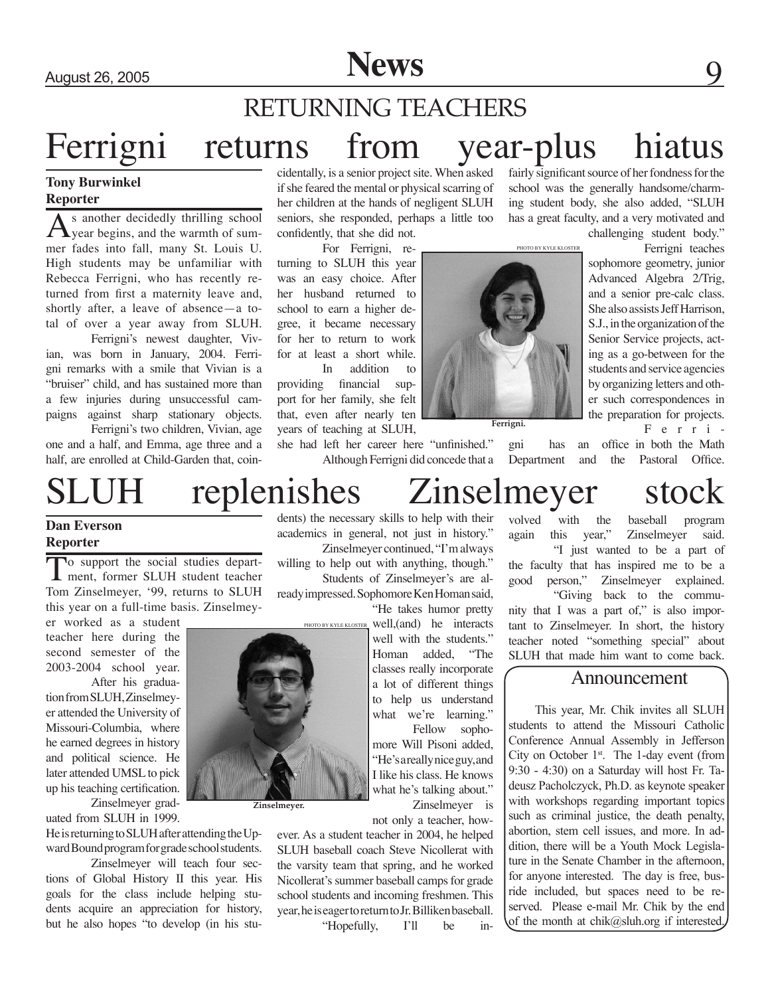### Ferrigni returns from year-plus hiatus fairly significant source of her fondness for the RETURNING TEACHERS

#### **Tony Burwinkel Reporter**

 $A<sub>year</sub>$  begins, and the warmth of summer fades into fall, many St. Louis U. High students may be unfamiliar with Rebecca Ferrigni, who has recently returned from first a maternity leave and, shortly after, a leave of absence—a total of over a year away from SLUH.

Ferrigni's newest daughter, Vivian, was born in January, 2004. Ferrigni remarks with a smile that Vivian is a "bruiser" child, and has sustained more than a few injuries during unsuccessful campaigns against sharp stationary objects.

Ferrigni's two children, Vivian, age one and a half, and Emma, age three and a half, are enrolled at Child-Garden that, coincidentally, is a senior project site. When asked if she feared the mental or physical scarring of her children at the hands of negligent SLUH seniors, she responded, perhaps a little too confidently, that she did not.

For Ferrigni, returning to SLUH this year was an easy choice. After her husband returned to school to earn a higher degree, it became necessary for her to return to work for at least a short while. In addition to

providing financial support for her family, she felt that, even after nearly ten years of teaching at SLUH,

she had left her career here "unfinished." Although Ferrigni did concede that a school was the generally handsome/charming student body, she also added, "SLUH has a great faculty, and a very motivated and

challenging student body."

Ferrigni teaches sophomore geometry, junior Advanced Algebra 2/Trig, and a senior pre-calc class. She also assists Jeff Harrison, S.J., in the organization of the Senior Service projects, acting as a go-between for the students and service agencies by organizing letters and other such correspondences in the preparation for projects.

F e r r i -

gni has an office in both the Math Department and the Pastoral Office.

#### **Dan Everson Reporter**

To support the social studies depart-<br>
ment, former SLUH student teacher Tom Zinselmeyer, '99, returns to SLUH this year on a full-time basis. Zinselmey-

er worked as a student teacher here during the second semester of the 2003-2004 school year. After his gradua-

tion from SLUH, Zinselmeyer attended the University of Missouri-Columbia, where he earned degrees in history and political science. He later attended UMSL to pick up his teaching certification. Zinselmeyer grad-

uated from SLUH in 1999.

He is returning to SLUH after attending the Upward Bound program for grade school students.

Zinselmeyer will teach four sections of Global History II this year. His goals for the class include helping students acquire an appreciation for history, but he also hopes "to develop (in his students) the necessary skills to help with their academics in general, not just in history." Zinselmeyer continued, "I'm always willing to help out with anything, though."

Students of Zinselmeyer's are already impressed. Sophomore Ken Homan said,

> "He takes humor pretty well,(and) he interacts well with the students." Homan added, "The classes really incorporate a lot of different things to help us understand what we're learning."

> Fellow sophomore Will Pisoni added, "He's a really nice guy, and I like his class. He knows what he's talking about."

Zinselmeyer is not only a teacher, how-

ever. As a student teacher in 2004, he helped SLUH baseball coach Steve Nicollerat with the varsity team that spring, and he worked Nicollerat's summer baseball camps for grade school students and incoming freshmen. This year, he is eager to return to Jr. Billiken baseball. "Hopefully, I'll be in-

### replenishes Zinselmeyer stock

PHOTO BY KYLE KLOSTER

**Ferrigni.**

volved with the baseball program again this year," Zinselmeyer said. "I just wanted to be a part of the faculty that has inspired me to be a good person," Zinselmeyer explained. "Giving back to the community that I was a part of," is also important to Zinselmeyer. In short, the history teacher noted "something special" about SLUH that made him want to come back.

#### Announcement

This year, Mr. Chik invites all SLUH students to attend the Missouri Catholic Conference Annual Assembly in Jefferson City on October  $1<sup>st</sup>$ . The 1-day event (from 9:30 - 4:30) on a Saturday will host Fr. Tadeusz Pacholczyck, Ph.D. as keynote speaker with workshops regarding important topics such as criminal justice, the death penalty, abortion, stem cell issues, and more. In addition, there will be a Youth Mock Legislature in the Senate Chamber in the afternoon, for anyone interested. The day is free, busride included, but spaces need to be reserved. Please e-mail Mr. Chik by the end of the month at chik@sluh.org if interested.



**Zinselmeyer.**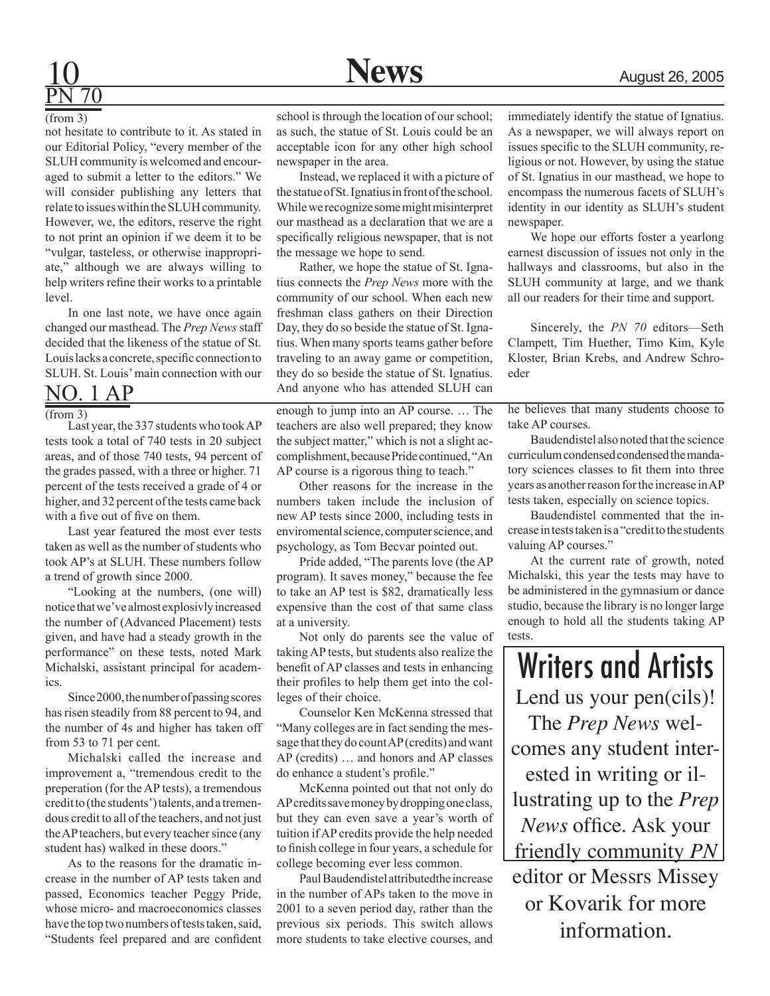

# PN 70

(from 3)

not hesitate to contribute to it. As stated in our Editorial Policy, "every member of the SLUH community is welcomed and encouraged to submit a letter to the editors." We will consider publishing any letters that relate to issues within the SLUH community. However, we, the editors, reserve the right to not print an opinion if we deem it to be "vulgar, tasteless, or otherwise inappropriate," although we are always willing to help writers refine their works to a printable level.

In one last note, we have once again changed our masthead. The *Prep News* staff decided that the likeness of the statue of St. Louis lacks a concrete, specific connection to SLUH. St. Louis' main connection with our

No. 1 AP

 $(from 3)$ 

Last year, the 337 students who took AP tests took a total of 740 tests in 20 subject areas, and of those 740 tests, 94 percent of the grades passed, with a three or higher. 71 percent of the tests received a grade of 4 or higher, and 32 percent of the tests came back with a five out of five on them.

Last year featured the most ever tests taken as well as the number of students who took AP's at SLUH. These numbers follow a trend of growth since 2000.

"Looking at the numbers, (one will) notice that we've almost explosivly increased the number of (Advanced Placement) tests given, and have had a steady growth in the performance" on these tests, noted Mark Michalski, assistant principal for academics.

Since 2000, the number of passing scores has risen steadily from 88 percent to 94, and the number of 4s and higher has taken off from 53 to 71 per cent.

Michalski called the increase and improvement a, "tremendous credit to the preperation (for the AP tests), a tremendous credit to (the students') talents, and a tremendous credit to all of the teachers, and not just the AP teachers, but every teacher since (any student has) walked in these doors."

As to the reasons for the dramatic increase in the number of AP tests taken and passed, Economics teacher Peggy Pride, whose micro- and macroeconomics classes have the top two numbers of tests taken, said, "Students feel prepared and are confident

school is through the location of our school; as such, the statue of St. Louis could be an acceptable icon for any other high school newspaper in the area.

Instead, we replaced it with a picture of the statue of St. Ignatius in front of the school. While we recognize some might misinterpret our masthead as a declaration that we are a specifically religious newspaper, that is not the message we hope to send.

Rather, we hope the statue of St. Ignatius connects the *Prep News* more with the community of our school. When each new freshman class gathers on their Direction Day, they do so beside the statue of St. Ignatius. When many sports teams gather before traveling to an away game or competition, they do so beside the statue of St. Ignatius. And anyone who has attended SLUH can

enough to jump into an AP course. … The teachers are also well prepared; they know the subject matter," which is not a slight accomplishment, because Pride continued, "An AP course is a rigorous thing to teach."

Other reasons for the increase in the numbers taken include the inclusion of new AP tests since 2000, including tests in enviromental science, computer science, and psychology, as Tom Becvar pointed out.

Pride added, "The parents love (the AP program). It saves money," because the fee to take an AP test is \$82, dramatically less expensive than the cost of that same class at a university.

Not only do parents see the value of taking AP tests, but students also realize the benefit of AP classes and tests in enhancing their profiles to help them get into the colleges of their choice.

Counselor Ken McKenna stressed that "Many colleges are in fact sending the message that they do count AP (credits) and want AP (credits) … and honors and AP classes do enhance a student's profile."

McKenna pointed out that not only do AP credits save money by dropping one class, but they can even save a year's worth of tuition if AP credits provide the help needed to finish college in four years, a schedule for college becoming ever less common.

Paul Baudendistel attributedthe increase in the number of APs taken to the move in 2001 to a seven period day, rather than the previous six periods. This switch allows more students to take elective courses, and

immediately identify the statue of Ignatius. As a newspaper, we will always report on issues specific to the SLUH community, religious or not. However, by using the statue of St. Ignatius in our masthead, we hope to encompass the numerous facets of SLUH's identity in our identity as SLUH's student newspaper.

We hope our efforts foster a yearlong earnest discussion of issues not only in the hallways and classrooms, but also in the SLUH community at large, and we thank all our readers for their time and support.

Sincerely, the *PN 70* editors—Seth Clampett, Tim Huether, Timo Kim, Kyle Kloster, Brian Krebs, and Andrew Schroeder

he believes that many students choose to take AP courses.

Baudendistel also noted that the science curriculum condensed condensed the mandatory sciences classes to fit them into three years as another reason for the increase in AP tests taken, especially on science topics.

Baudendistel commented that the increase in tests taken is a "credit to the students valuing AP courses."

At the current rate of growth, noted Michalski, this year the tests may have to be administered in the gymnasium or dance studio, because the library is no longer large enough to hold all the students taking AP tests.

Writers and Artists Lend us your pen(cils)! The *Prep News* welcomes any student interested in writing or illustrating up to the *Prep News* office. Ask your friendly community *PN* editor or Messrs Missey or Kovarik for more information.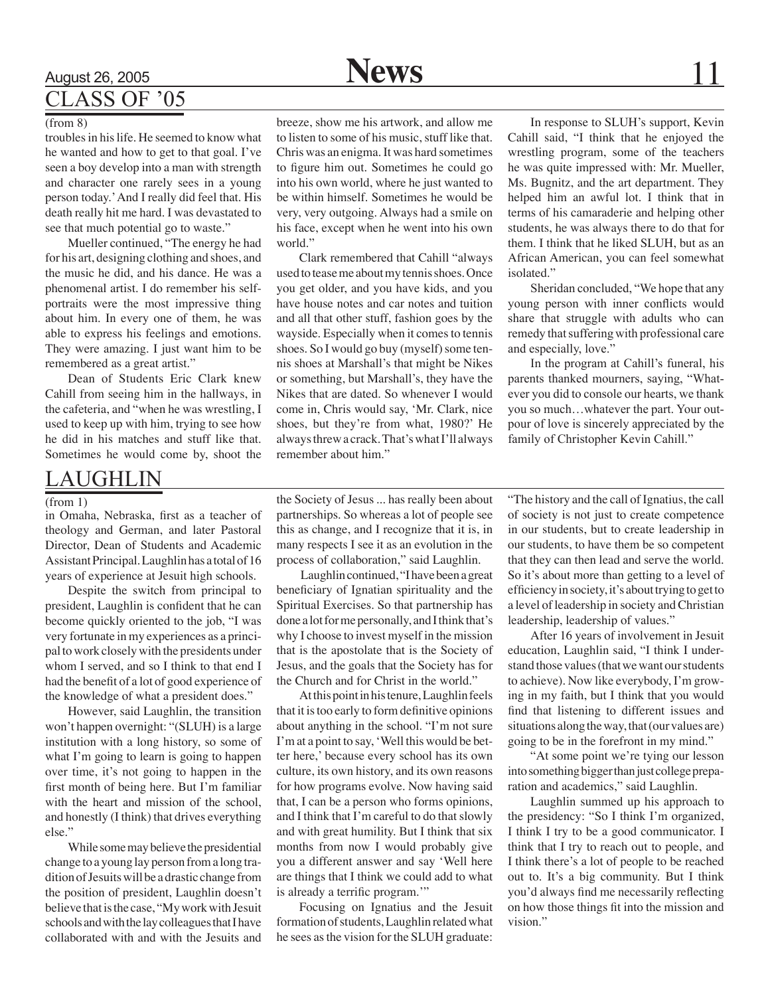### August 26, 2005 **News** 11 Class of '05

#### (from 8)

troubles in his life. He seemed to know what he wanted and how to get to that goal. I've seen a boy develop into a man with strength and character one rarely sees in a young person today.' And I really did feel that. His death really hit me hard. I was devastated to see that much potential go to waste."

Mueller continued, "The energy he had for his art, designing clothing and shoes, and the music he did, and his dance. He was a phenomenal artist. I do remember his selfportraits were the most impressive thing about him. In every one of them, he was able to express his feelings and emotions. They were amazing. I just want him to be remembered as a great artist."

Dean of Students Eric Clark knew Cahill from seeing him in the hallways, in the cafeteria, and "when he was wrestling, I used to keep up with him, trying to see how he did in his matches and stuff like that. Sometimes he would come by, shoot the

#### AUGHLIN

#### (from 1)

in Omaha, Nebraska, first as a teacher of theology and German, and later Pastoral Director, Dean of Students and Academic Assistant Principal. Laughlin has a total of 16 years of experience at Jesuit high schools.

Despite the switch from principal to president, Laughlin is confident that he can become quickly oriented to the job, "I was very fortunate in my experiences as a principal to work closely with the presidents under whom I served, and so I think to that end I had the benefit of a lot of good experience of the knowledge of what a president does."

However, said Laughlin, the transition won't happen overnight: "(SLUH) is a large institution with a long history, so some of what I'm going to learn is going to happen over time, it's not going to happen in the first month of being here. But I'm familiar with the heart and mission of the school, and honestly (I think) that drives everything else."

While some may believe the presidential change to a young lay person from a long tradition of Jesuits will be a drastic change from the position of president, Laughlin doesn't believe that is the case, "My work with Jesuit schools and with the lay colleagues that I have collaborated with and with the Jesuits and breeze, show me his artwork, and allow me to listen to some of his music, stuff like that. Chris was an enigma. It was hard sometimes to figure him out. Sometimes he could go into his own world, where he just wanted to be within himself. Sometimes he would be very, very outgoing. Always had a smile on his face, except when he went into his own world."

Clark remembered that Cahill "always used to tease me about my tennis shoes. Once you get older, and you have kids, and you have house notes and car notes and tuition and all that other stuff, fashion goes by the wayside. Especially when it comes to tennis shoes. So I would go buy (myself) some tennis shoes at Marshall's that might be Nikes or something, but Marshall's, they have the Nikes that are dated. So whenever I would come in, Chris would say, 'Mr. Clark, nice shoes, but they're from what, 1980?' He always threw a crack. That's what I'll always remember about him."

In response to SLUH's support, Kevin Cahill said, "I think that he enjoyed the wrestling program, some of the teachers he was quite impressed with: Mr. Mueller, Ms. Bugnitz, and the art department. They helped him an awful lot. I think that in terms of his camaraderie and helping other students, he was always there to do that for them. I think that he liked SLUH, but as an African American, you can feel somewhat isolated."

Sheridan concluded, "We hope that any young person with inner conflicts would share that struggle with adults who can remedy that suffering with professional care and especially, love."

In the program at Cahill's funeral, his parents thanked mourners, saying, "Whatever you did to console our hearts, we thank you so much…whatever the part. Your outpour of love is sincerely appreciated by the family of Christopher Kevin Cahill."

the Society of Jesus ... has really been about partnerships. So whereas a lot of people see this as change, and I recognize that it is, in many respects I see it as an evolution in the process of collaboration," said Laughlin.

 Laughlin continued, "I have been a great beneficiary of Ignatian spirituality and the Spiritual Exercises. So that partnership has done a lot for me personally, and I think that's why I choose to invest myself in the mission that is the apostolate that is the Society of Jesus, and the goals that the Society has for the Church and for Christ in the world."

At this point in his tenure, Laughlin feels that it is too early to form definitive opinions about anything in the school. "I'm not sure I'm at a point to say, 'Well this would be better here,' because every school has its own culture, its own history, and its own reasons for how programs evolve. Now having said that, I can be a person who forms opinions, and I think that I'm careful to do that slowly and with great humility. But I think that six months from now I would probably give you a different answer and say 'Well here are things that I think we could add to what is already a terrific program."

Focusing on Ignatius and the Jesuit formation of students, Laughlin related what he sees as the vision for the SLUH graduate:

"The history and the call of Ignatius, the call of society is not just to create competence in our students, but to create leadership in our students, to have them be so competent that they can then lead and serve the world. So it's about more than getting to a level of efficiency in society, it's about trying to get to a level of leadership in society and Christian leadership, leadership of values."

After 16 years of involvement in Jesuit education, Laughlin said, "I think I understand those values (that we want our students to achieve). Now like everybody, I'm growing in my faith, but I think that you would find that listening to different issues and situations along the way, that (our values are) going to be in the forefront in my mind."

"At some point we're tying our lesson into something bigger than just college preparation and academics," said Laughlin.

Laughlin summed up his approach to the presidency: "So I think I'm organized, I think I try to be a good communicator. I think that I try to reach out to people, and I think there's a lot of people to be reached out to. It's a big community. But I think you'd always find me necessarily reflecting on how those things fit into the mission and vision."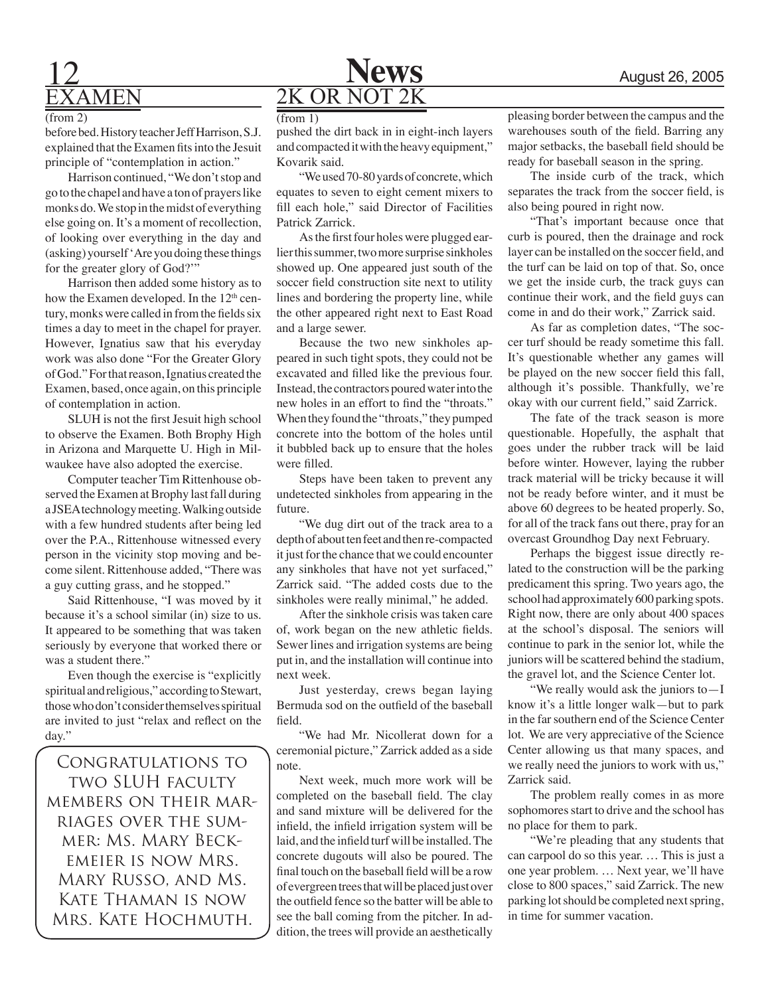### **12 News** August 26, 2005 examen

#### (from 2)

before bed. History teacher Jeff Harrison, S.J. explained that the Examen fits into the Jesuit principle of "contemplation in action."

Harrison continued, "We don't stop and go to the chapel and have a ton of prayers like monks do. We stop in the midst of everything else going on. It's a moment of recollection, of looking over everything in the day and (asking) yourself 'Are you doing these things for the greater glory of God?'"

Harrison then added some history as to how the Examen developed. In the  $12<sup>th</sup>$  century, monks were called in from the fields six times a day to meet in the chapel for prayer. However, Ignatius saw that his everyday work was also done "For the Greater Glory of God." For that reason, Ignatius created the Examen, based, once again, on this principle of contemplation in action.

SLUH is not the first Jesuit high school to observe the Examen. Both Brophy High in Arizona and Marquette U. High in Milwaukee have also adopted the exercise.

Computer teacher Tim Rittenhouse observed the Examen at Brophy last fall during a JSEA technology meeting. Walking outside with a few hundred students after being led over the P.A., Rittenhouse witnessed every person in the vicinity stop moving and become silent. Rittenhouse added, "There was a guy cutting grass, and he stopped."

Said Rittenhouse, "I was moved by it because it's a school similar (in) size to us. It appeared to be something that was taken seriously by everyone that worked there or was a student there."

Even though the exercise is "explicitly spiritual and religious," according to Stewart, those who don't consider themselves spiritual are invited to just "relax and reflect on the day."

Congratulations to two SLUH faculty members on their marriages over the summer: Ms. Mary Beckemeier is now Mrs. Mary Russo, and Ms. Kate Thaman is now Mrs. Kate Hochmuth.

(from 1)

pushed the dirt back in in eight-inch layers and compacted it with the heavy equipment," Kovarik said.

2K OR NOT 2K

"We used 70-80 yards of concrete, which equates to seven to eight cement mixers to fill each hole," said Director of Facilities Patrick Zarrick.

As the first four holes were plugged earlier this summer, two more surprise sinkholes showed up. One appeared just south of the soccer field construction site next to utility lines and bordering the property line, while the other appeared right next to East Road and a large sewer.

Because the two new sinkholes appeared in such tight spots, they could not be excavated and filled like the previous four. Instead, the contractors poured water into the new holes in an effort to find the "throats." When they found the "throats," they pumped concrete into the bottom of the holes until it bubbled back up to ensure that the holes were filled.

Steps have been taken to prevent any undetected sinkholes from appearing in the future.

"We dug dirt out of the track area to a depth of about ten feet and then re-compacted it just for the chance that we could encounter any sinkholes that have not yet surfaced," Zarrick said. "The added costs due to the sinkholes were really minimal," he added.

After the sinkhole crisis was taken care of, work began on the new athletic fields. Sewer lines and irrigation systems are being put in, and the installation will continue into next week.

Just yesterday, crews began laying Bermuda sod on the outfield of the baseball field.

"We had Mr. Nicollerat down for a ceremonial picture," Zarrick added as a side note.

Next week, much more work will be completed on the baseball field. The clay and sand mixture will be delivered for the infield, the infield irrigation system will be laid, and the infield turf will be installed. The concrete dugouts will also be poured. The final touch on the baseball field will be a row of evergreen trees that will be placed just over the outfield fence so the batter will be able to see the ball coming from the pitcher. In addition, the trees will provide an aesthetically pleasing border between the campus and the warehouses south of the field. Barring any major setbacks, the baseball field should be ready for baseball season in the spring.

The inside curb of the track, which separates the track from the soccer field, is also being poured in right now.

"That's important because once that curb is poured, then the drainage and rock layer can be installed on the soccer field, and the turf can be laid on top of that. So, once we get the inside curb, the track guys can continue their work, and the field guys can come in and do their work," Zarrick said.

As far as completion dates, "The soccer turf should be ready sometime this fall. It's questionable whether any games will be played on the new soccer field this fall, although it's possible. Thankfully, we're okay with our current field," said Zarrick.

The fate of the track season is more questionable. Hopefully, the asphalt that goes under the rubber track will be laid before winter. However, laying the rubber track material will be tricky because it will not be ready before winter, and it must be above 60 degrees to be heated properly. So, for all of the track fans out there, pray for an overcast Groundhog Day next February.

Perhaps the biggest issue directly related to the construction will be the parking predicament this spring. Two years ago, the school had approximately 600 parking spots. Right now, there are only about 400 spaces at the school's disposal. The seniors will continue to park in the senior lot, while the juniors will be scattered behind the stadium, the gravel lot, and the Science Center lot.

"We really would ask the juniors to—I know it's a little longer walk—but to park in the far southern end of the Science Center lot. We are very appreciative of the Science Center allowing us that many spaces, and we really need the juniors to work with us," Zarrick said.

The problem really comes in as more sophomores start to drive and the school has no place for them to park.

"We're pleading that any students that can carpool do so this year. … This is just a one year problem. … Next year, we'll have close to 800 spaces," said Zarrick. The new parking lot should be completed next spring, in time for summer vacation.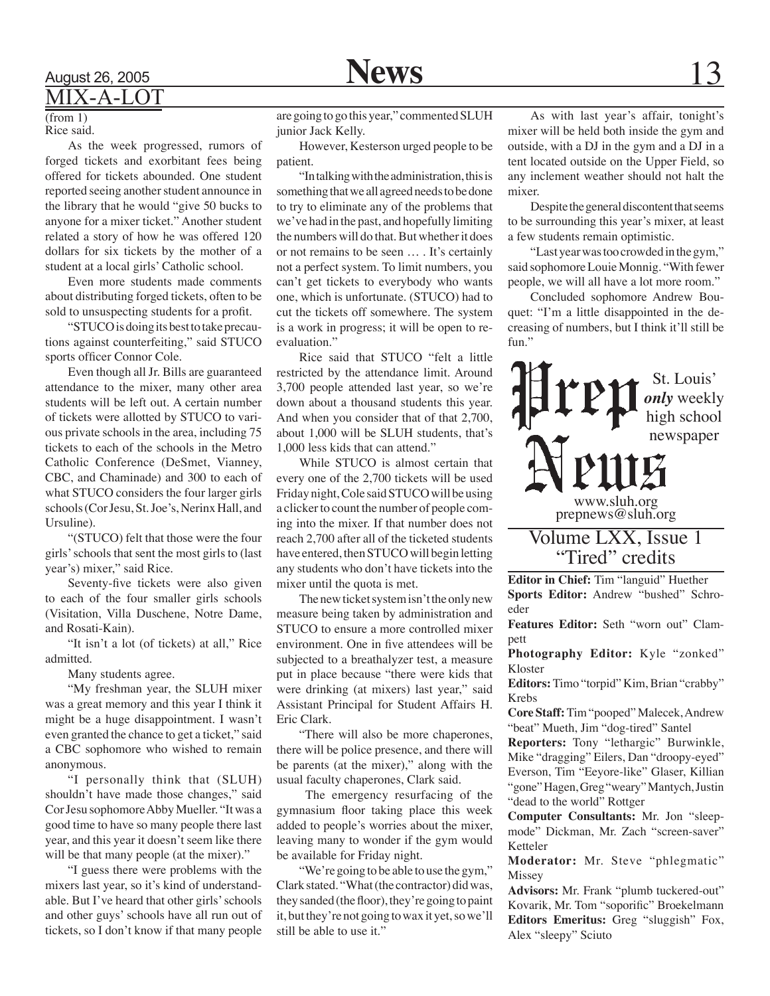### **News**

### $(from 1)$

Rice said.

As the week progressed, rumors of forged tickets and exorbitant fees being offered for tickets abounded. One student reported seeing another student announce in the library that he would "give 50 bucks to anyone for a mixer ticket." Another student related a story of how he was offered 120 dollars for six tickets by the mother of a student at a local girls' Catholic school.

Even more students made comments about distributing forged tickets, often to be sold to unsuspecting students for a profit.

"STUCO is doing its best to take precautions against counterfeiting," said STUCO sports officer Connor Cole.

Even though all Jr. Bills are guaranteed attendance to the mixer, many other area students will be left out. A certain number of tickets were allotted by STUCO to various private schools in the area, including 75 tickets to each of the schools in the Metro Catholic Conference (DeSmet, Vianney, CBC, and Chaminade) and 300 to each of what STUCO considers the four larger girls schools (Cor Jesu, St. Joe's, Nerinx Hall, and Ursuline).

"(STUCO) felt that those were the four girls' schools that sent the most girls to (last year's) mixer," said Rice.

Seventy-five tickets were also given to each of the four smaller girls schools (Visitation, Villa Duschene, Notre Dame, and Rosati-Kain).

"It isn't a lot (of tickets) at all," Rice admitted.

Many students agree.

"My freshman year, the SLUH mixer was a great memory and this year I think it might be a huge disappointment. I wasn't even granted the chance to get a ticket," said a CBC sophomore who wished to remain anonymous.

"I personally think that (SLUH) shouldn't have made those changes," said Cor Jesu sophomore Abby Mueller. "It was a good time to have so many people there last year, and this year it doesn't seem like there will be that many people (at the mixer)."

"I guess there were problems with the mixers last year, so it's kind of understandable. But I've heard that other girls' schools and other guys' schools have all run out of tickets, so I don't know if that many people

are going to go this year," commented SLUH junior Jack Kelly.

However, Kesterson urged people to be patient.

"In talking with the administration, this is something that we all agreed needs to be done to try to eliminate any of the problems that we've had in the past, and hopefully limiting the numbers will do that. But whether it does or not remains to be seen … . It's certainly not a perfect system. To limit numbers, you can't get tickets to everybody who wants one, which is unfortunate. (STUCO) had to cut the tickets off somewhere. The system is a work in progress; it will be open to reevaluation."

Rice said that STUCO "felt a little restricted by the attendance limit. Around 3,700 people attended last year, so we're down about a thousand students this year. And when you consider that of that 2,700, about 1,000 will be SLUH students, that's 1,000 less kids that can attend."

While STUCO is almost certain that every one of the 2,700 tickets will be used Friday night, Cole said STUCO will be using a clicker to count the number of people coming into the mixer. If that number does not reach 2,700 after all of the ticketed students have entered, then STUCO will begin letting any students who don't have tickets into the mixer until the quota is met.

The new ticket system isn't the only new measure being taken by administration and STUCO to ensure a more controlled mixer environment. One in five attendees will be subjected to a breathalyzer test, a measure put in place because "there were kids that were drinking (at mixers) last year," said Assistant Principal for Student Affairs H. Eric Clark.

"There will also be more chaperones, there will be police presence, and there will be parents (at the mixer)," along with the usual faculty chaperones, Clark said.

 The emergency resurfacing of the gymnasium floor taking place this week added to people's worries about the mixer, leaving many to wonder if the gym would be available for Friday night.

"We're going to be able to use the gym," Clark stated. "What (the contractor) did was, they sanded (the floor), they're going to paint it, but they're not going to wax it yet, so we'll still be able to use it."

As with last year's affair, tonight's mixer will be held both inside the gym and outside, with a DJ in the gym and a DJ in a tent located outside on the Upper Field, so any inclement weather should not halt the mixer.

Despite the general discontent that seems to be surrounding this year's mixer, at least a few students remain optimistic.

"Last year was too crowded in the gym," said sophomore Louie Monnig. "With fewer people, we will all have a lot more room."

Concluded sophomore Andrew Bouquet: "I'm a little disappointed in the decreasing of numbers, but I think it'll still be fun."



"Tired" credits

**Editor in Chief:** Tim "languid" Huether **Sports Editor:** Andrew "bushed" Schroeder

**Features Editor:** Seth "worn out" Clampett

**Photography Editor:** Kyle "zonked" Kloster

**Editors:** Timo "torpid" Kim, Brian "crabby" Krebs

**Core Staff:** Tim "pooped" Malecek, Andrew "beat" Mueth, Jim "dog-tired" Santel

**Reporters:** Tony "lethargic" Burwinkle, Mike "dragging" Eilers, Dan "droopy-eyed" Everson, Tim "Eeyore-like" Glaser, Killian "gone" Hagen, Greg "weary" Mantych, Justin "dead to the world" Rottger

**Computer Consultants:** Mr. Jon "sleepmode" Dickman, Mr. Zach "screen-saver" Ketteler

**Moderator:** Mr. Steve "phlegmatic" Missey

**Advisors:** Mr. Frank "plumb tuckered-out" Kovarik, Mr. Tom "soporific" Broekelmann **Editors Emeritus:** Greg "sluggish" Fox, Alex "sleepy" Sciuto